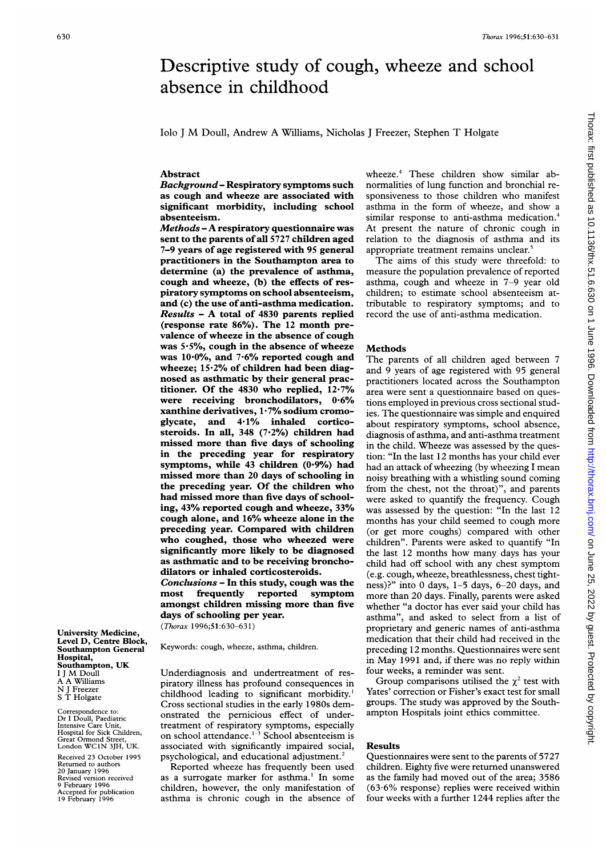# wheeze.4 These children show similar abnormalities of lung function and bronchial responsiveness to those children who manifest asthma in the form of wheeze, and show a similar response to anti-asthma medication.<sup>4</sup> At present the nature of chronic cough in relation to the diagnosis of asthma and its appropriate treatment remains unclear.<sup>5</sup> The aims of this study were threefold: to measure the population prevalence of reported asthma, cough and wheeze in 7-9 year old children; to estimate school absenteeism attributable to respiratory symptoms; and to record the use of anti-asthma medication.

#### Methods

Descriptive study of cough, wheeze and school

The parents of all children aged between 7 and 9 years of age registered with 95 general practitioners located across the Southampton area were sent a questionnaire based on questions employed in previous cross sectional studies. The questionnaire was simple and enquired about respiratory symptoms, school absence, diagnosis of asthma, and anti-asthma treatment in the child. Wheeze was assessed by the question: "In the last 12 months has your child ever had an attack of wheezing (by wheezing <sup>I</sup> mean noisy breathing with a whistling sound coming from the chest, not the throat)", and parents were asked to quantify the frequency. Cough was assessed by the question: "In the last 12 months has your child seemed to cough more (or get more coughs) compared with other children". Parents were asked to quantify "In the last 12 months how many days has your child had off school with any chest symptom (e.g. cough, wheeze, breathlessness, chest tightness)?" into 0 days, 1-5 days, 6-20 days, and more than 20 days. Finally, parents were asked whether "a doctor has ever said your child has asthma", and asked to select from a list of proprietary and generic names of anti-asthma medication that their child had received in the preceding 12 months. Questionnaires were sent in May 1991 and, if there was no reply within four weeks, a reminder was sent.

Group comparisons utilised the  $\chi^2$  test with Yates' correction or Fisher's exact test for small groups. The study was approved by the Southampton Hospitals joint ethics committee.

#### Results

Questionnaires were sent to the parents of 5727 children. Eighty five were returned unanswered as the family had moved out of the area; 3586 (63-6% response) replies were received within four weeks with a further 1244 replies after the

University Medicine, Level D, Centre Block, Southampton General Hospital, Southampton, UK <sup>I</sup> <sup>J</sup> M Doull A A Williams N <sup>J</sup> Freezer <sup>S</sup> T Holgate

Correspondence to: Dr <sup>I</sup> Doull, Paediatric Intensive Care Unit, Hospital for Sick Children, Great Ormond Street, London WC1N 3JH, UK.

Received 23 October 1995 Returned to authors 20 January 1996 Revised version received 9 February 1996 Accepted for publication 19 February 1996

lob <sup>J</sup> M Doull, Andrew A Williams, Nicholas <sup>J</sup> Freezer, Stephen T Holgate

absence in childhood

## Abstract

Background- Respiratory symptoms such as cough and wheeze are associated with significant morbidity, including school absenteeism.

Methods - A respiratory questionnaire was sent to the parents ofall 5727 children aged 7-9 years of age registered with 95 general practitioners in the Southampton area to determine (a) the prevalence of asthma, cough and wheeze, (b) the effects of respiratory symptoms on school absenteeism, and (c) the use of anti-asthma medication. Results - A total of <sup>4830</sup> parents replied (response rate 86%). The 12 month prevalence of wheeze in the absence of cough was  $5.5\%$ , cough in the absence of wheeze was 10-0%, and 7-6% reported cough and wheeze; 15-2% of children had been diagnosed as asthmatic by their general practitioner. Of the 4830 who replied, 12-7% were receiving bronchodilators, 0-6% xanthine derivatives,  $1.7\%$  sodium cromoglycate, and 4-1% inhaled corticosteroids. In all, 348 (7.2%) children had missed more than five days of schooling in the preceding year for respiratory symptoms, while  $43$  children  $(0.9\%)$  had missed more than 20 days of schooling in the preceding year. Of the children who had missed more than five days of schooling, 43% reported cough and wheeze, 33% cough alone, and 16% wheeze alone in the preceding year. Compared with children who coughed, those who wheezed were significantly more likely to be diagnosed as asthmatic and to be receiving bronchodilators or inhaled corticosteroids.

Conclusions - In this study, cough was the most frequently reported symptom amongst children missing more than five days of schooling per year. (Thorax 1996;51:630-631)

Keywords: cough, wheeze, asthma, children.

Underdiagnosis and undertreatment of respiratory illness has profound consequences in childhood leading to significant morbidity.<sup>1</sup> Cross sectional studies in the early 1980s demonstrated the pernicious effect of undertreatment of respiratory symptoms, especially on school attendance.1-3 School absenteeism is associated with significantly impaired social, psychological, and educational adjustment.<sup>2</sup>

Reported wheeze has frequently been used as <sup>a</sup> surrogate marker for asthma.' In some children, however, the only manifestation of asthma is chronic cough in the absence of